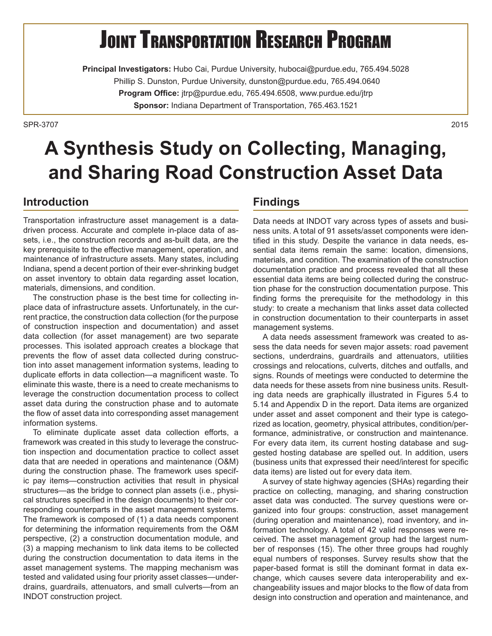# **JOINT TRANSPORTATION RESEARCH PROGRAM**

**Principal Investigators:** Hubo Cai, Purdue University, hubocai@purdue.edu, 765.494.5028 Phillip S. Dunston, Purdue University, dunston@purdue.edu, 765.494.0640 **Program Office:** jtrp@purdue.edu, 765.494.6508, www.purdue.edu/jtrp **Sponsor:** Indiana Department of Transportation, 765.463.1521

SPR-37072015

## **A Synthesis Study on Collecting, Managing, and Sharing Road Construction Asset Data**

#### **Introduction**

Transportation infrastructure asset management is a datadriven process. Accurate and complete in-place data of assets, i.e., the construction records and as-built data, are the key prerequisite to the effective management, operation, and maintenance of infrastructure assets. Many states, including Indiana, spend a decent portion of their ever-shrinking budget on asset inventory to obtain data regarding asset location, materials, dimensions, and condition.

The construction phase is the best time for collecting inplace data of infrastructure assets. Unfortunately, in the current practice, the construction data collection (for the purpose of construction inspection and documentation) and asset data collection (for asset management) are two separate processes. This isolated approach creates a blockage that prevents the flow of asset data collected during construction into asset management information systems, leading to duplicate efforts in data collection—a magnificent waste. To eliminate this waste, there is a need to create mechanisms to leverage the construction documentation process to collect asset data during the construction phase and to automate the flow of asset data into corresponding asset management information systems.

To eliminate duplicate asset data collection efforts, a framework was created in this study to leverage the construction inspection and documentation practice to collect asset data that are needed in operations and maintenance (O&M) during the construction phase. The framework uses specific pay items—construction activities that result in physical structures—as the bridge to connect plan assets (i.e., physical structures specified in the design documents) to their corresponding counterparts in the asset management systems. The framework is composed of (1) a data needs component for determining the information requirements from the O&M perspective, (2) a construction documentation module, and (3) a mapping mechanism to link data items to be collected during the construction documentation to data items in the asset management systems. The mapping mechanism was tested and validated using four priority asset classes—underdrains, guardrails, attenuators, and small culverts—from an INDOT construction project.

#### **Findings**

Data needs at INDOT vary across types of assets and business units. A total of 91 assets/asset components were identified in this study. Despite the variance in data needs, essential data items remain the same: location, dimensions, materials, and condition. The examination of the construction documentation practice and process revealed that all these essential data items are being collected during the construction phase for the construction documentation purpose. This finding forms the prerequisite for the methodology in this study: to create a mechanism that links asset data collected in construction documentation to their counterparts in asset management systems.

A data needs assessment framework was created to assess the data needs for seven major assets: road pavement sections, underdrains, guardrails and attenuators, utilities crossings and relocations, culverts, ditches and outfalls, and signs. Rounds of meetings were conducted to determine the data needs for these assets from nine business units. Resulting data needs are graphically illustrated in Figures 5.4 to 5.14 and Appendix D in the report. Data items are organized under asset and asset component and their type is categorized as location, geometry, physical attributes, condition/performance, administrative, or construction and maintenance. For every data item, its current hosting database and suggested hosting database are spelled out. In addition, users (business units that expressed their need/interest for specific data items) are listed out for every data item.

A survey of state highway agencies (SHAs) regarding their practice on collecting, managing, and sharing construction asset data was conducted. The survey questions were organized into four groups: construction, asset management (during operation and maintenance), road inventory, and information technology. A total of 42 valid responses were received. The asset management group had the largest number of responses (15). The other three groups had roughly equal numbers of responses. Survey results show that the paper-based format is still the dominant format in data exchange, which causes severe data interoperability and exchangeability issues and major blocks to the flow of data from design into construction and operation and maintenance, and